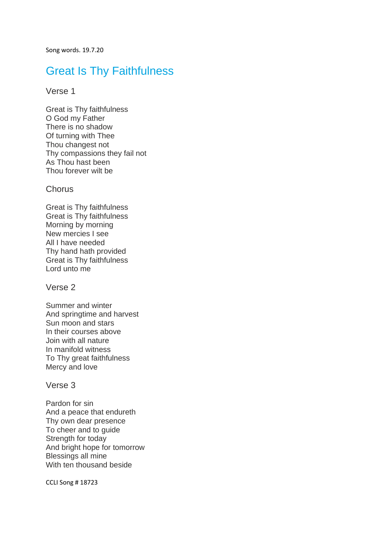Song words. 19.7.20

# Great Is Thy Faithfulness

### Verse 1

Great is Thy faithfulness O God my Father There is no shadow Of turning with Thee Thou changest not Thy compassions they fail not As Thou hast been Thou forever wilt be

### **Chorus**

Great is Thy faithfulness Great is Thy faithfulness Morning by morning New mercies I see All I have needed Thy hand hath provided Great is Thy faithfulness Lord unto me

### Verse 2

Summer and winter And springtime and harvest Sun moon and stars In their courses above Join with all nature In manifold witness To Thy great faithfulness Mercy and love

### Verse 3

Pardon for sin And a peace that endureth Thy own dear presence To cheer and to guide Strength for today And bright hope for tomorrow Blessings all mine With ten thousand beside

CCLI Song # 18723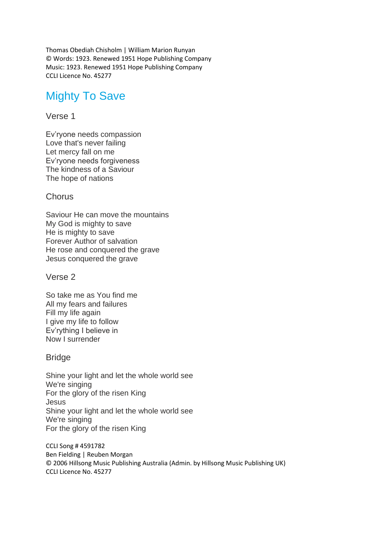Thomas Obediah Chisholm | William Marion Runyan © Words: 1923. Renewed 1951 Hope Publishing Company Music: 1923. Renewed 1951 Hope Publishing Company CCLI Licence No. 45277

# Mighty To Save

## Verse 1

Ev'ryone needs compassion Love that's never failing Let mercy fall on me Ev'ryone needs forgiveness The kindness of a Saviour The hope of nations

## Chorus

Saviour He can move the mountains My God is mighty to save He is mighty to save Forever Author of salvation He rose and conquered the grave Jesus conquered the grave

Verse 2

So take me as You find me All my fears and failures Fill my life again I give my life to follow Ev'rything I believe in Now I surrender

## Bridge

Shine your light and let the whole world see We're singing For the glory of the risen King Jesus Shine your light and let the whole world see We're singing For the glory of the risen King

CCLI Song # 4591782 Ben Fielding | Reuben Morgan © 2006 Hillsong Music Publishing Australia (Admin. by Hillsong Music Publishing UK) CCLI Licence No. 45277